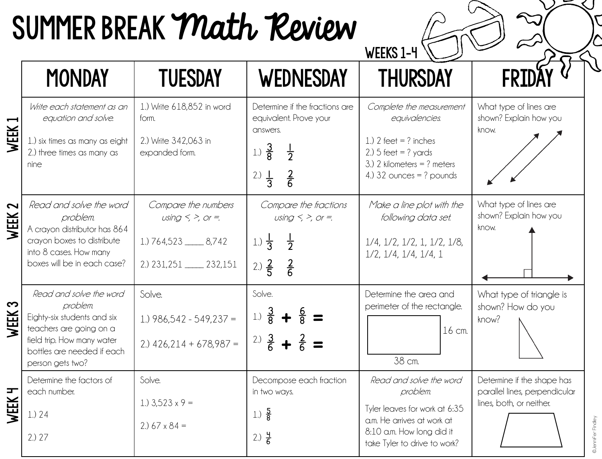## SUMMER BREAK Math Review

WEEKS 1-4

©Jennifer Findley

|           | <b>MONDAY</b>                                                                                                                                                                 | <b>TUESDAY</b>                                                                                         | <b>WEDNESDAY</b>                                                                                                                                     | <b>THURSDAY</b>                                                                                                                                                 |                                                                                         |
|-----------|-------------------------------------------------------------------------------------------------------------------------------------------------------------------------------|--------------------------------------------------------------------------------------------------------|------------------------------------------------------------------------------------------------------------------------------------------------------|-----------------------------------------------------------------------------------------------------------------------------------------------------------------|-----------------------------------------------------------------------------------------|
| WEEK      | Write each statement as an<br>equation and solve.<br>1.) six times as many as eight<br>2.) three times as many as<br>nine                                                     | 1.) Write 618,852 in word<br>form.<br>2.) Write 342,063 in<br>expanded form.                           | Determine if the fractions are<br>equivalent. Prove your<br>answers.<br>$\frac{3}{8}$<br>1.)<br>$\frac{1}{2}$<br>$rac{2}{6}$<br>2.)<br>$\frac{1}{3}$ | Complete the measurement<br>equivalencies.<br>1.) $2 feet = ? inches$<br>$2.05$ feet = ? yards<br>3.) 2 kilometers = $?$ meters<br>4.) $32$ ounces = ? pounds   | What type of lines are<br>shown? Explain how you<br>know.                               |
| 2<br>WEEK | Read and solve the word<br>problem.<br>A crayon distributor has 864<br>crayon boxes to distribute<br>into 8 cases. How many<br>boxes will be in each case?                    | Compare the numbers<br>using $\leq$ >, or =.<br>1.) 764,523 _____ 8,742<br>2.) 231, 251 _____ 232, 151 | Compare the fractions<br>using $\leq$ >, or =.<br>$\frac{1}{2}$<br>1.) $\frac{1}{3}$<br>2.) $\frac{2}{5}$<br>$rac{2}{6}$                             | Make a line plot with the<br>following data set.<br>$1/4$ , $1/2$ , $1/2$ , $1$ , $1/2$ , $1/8$ ,<br>$1/2$ , $1/4$ , $1/4$ , $1/4$ , $1$                        | What type of lines are<br>shown? Explain how you<br>know.                               |
| က<br>WEEK | Read and solve the word<br>problem.<br>Eighty-six students and six<br>teachers are going on a<br>field trip. How many water<br>bottles are needed if each<br>person gets two? | Solve.<br>1.) $986,542 - 549,237 =$<br>$2.)$ 426,214 + 678,987 =                                       | Solve.<br>$rac{3}{8}$<br>1.<br>$rac{3}{6}$<br>2.                                                                                                     | Determine the area and<br>perimeter of the rectangle.<br>16 cm.<br>38 cm.                                                                                       | What type of triangle is<br>shown? How do you<br>know?                                  |
| Ŧ<br>WEEK | Determine the factors of<br>each number.<br>1.) 24<br>2.027                                                                                                                   | Solve.<br>1.) $3,523 \times 9 =$<br>2.) $67 \times 84 =$                                               | Decompose each fraction<br>in two ways.<br>$\frac{5}{8}$<br>1.<br>2.) $\frac{4}{6}$                                                                  | Read and solve the word<br>problem.<br>Tyler leaves for work at 6:35<br>a.m. He arrives at work at<br>8:10 a.m. How long did it<br>take Tyler to drive to work? | Determine if the shape has<br>parallel lines, perpendicular<br>lines, both, or neither. |